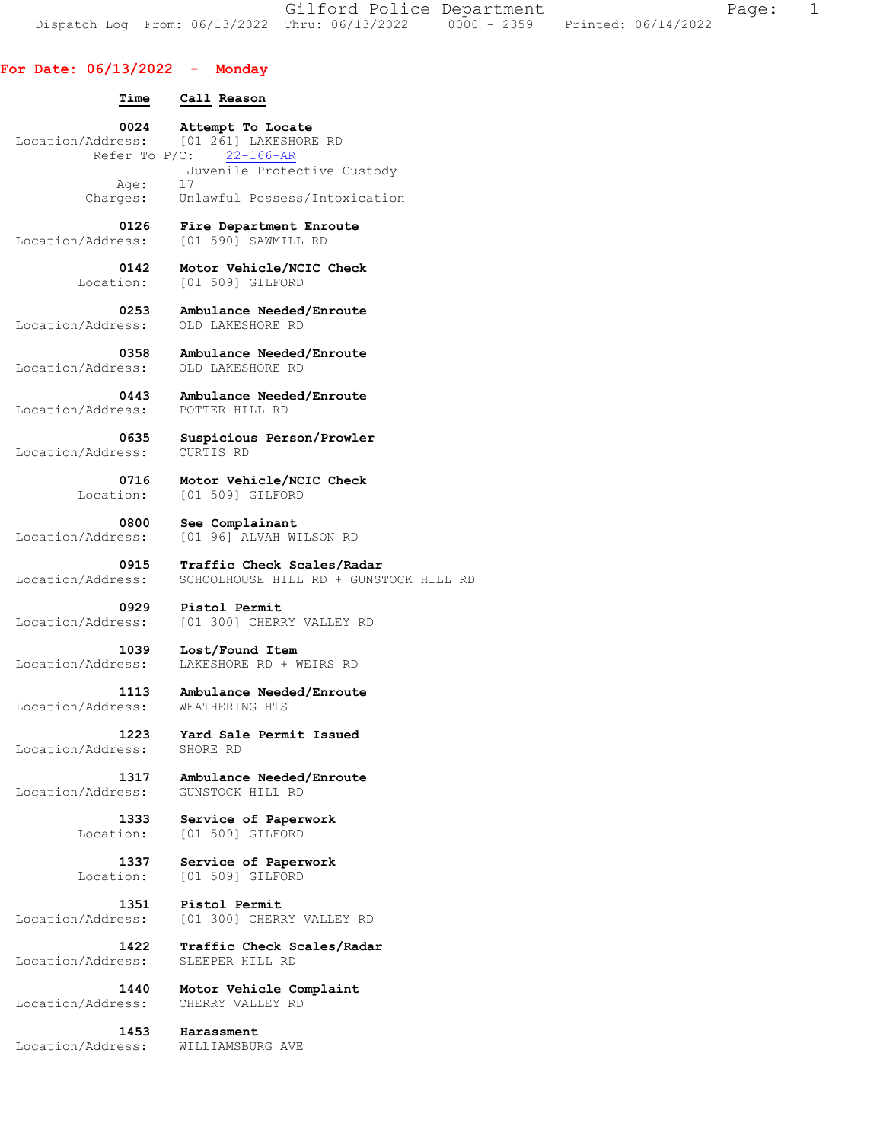Gilford Police Department Fage: 1 Dispatch Log From: 06/13/2022 Thru: 06/13/2022 0000 - 2359 Printed: 06/14/2022

## **For Date: 06/13/2022 - Monday**

## **Time Call Reason 0024 Attempt To Locate**<br>Location/Address: [01 261] LAKESHORE  $[01 261]$  LAKESHORE RD<br> $\sqrt{C}$ : 22-166-AR Refer To  $P/C$ : Juvenile Protective Custody Age: 17 Charges: Unlawful Possess/Intoxication  **0126 Fire Department Enroute**  Location/Address: [01 590] SAWMILL RD  **0142 Motor Vehicle/NCIC Check**  Location: [01 509] GILFORD  **0253 Ambulance Needed/Enroute**  Location/Address:  **0358 Ambulance Needed/Enroute**  Location/Address: OLD LAKESHORE RD  **0443 Ambulance Needed/Enroute**  Location/Address: POTTER HILL RD  **0635 Suspicious Person/Prowler**  Location/Address: CURTIS RD  **0716 Motor Vehicle/NCIC Check**  Location: [01 509] GILFORD  **0800 See Complainant**  Location/Address: [01 96] ALVAH WILSON RD  **0915 Traffic Check Scales/Radar**  Location/Address: SCHOOLHOUSE HILL RD + GUNSTOCK HILL RD **0929 Pistol Permit**<br>Location/Address: [01 300] CHERF [01 300] CHERRY VALLEY RD  **1039 Lost/Found Item**  Location/Address: LAKESHORE RD + WEIRS RD  **1113 Ambulance Needed/Enroute**  Location/Address:  **1223 Yard Sale Permit Issued**  Location/Address: SHORE RD  **1317 Ambulance Needed/Enroute**  Location/Address:  **1333 Service of Paperwork**  Location: [01 509] GILFORD  **1337 Service of Paperwork**  Location: [01 509] GILFORD  **1351 Pistol Permit**  Location/Address: [01 300] CHERRY VALLEY RD  **1422 Traffic Check Scales/Radar**  Location/Address: SLEEPER HILL RD  **1440 Motor Vehicle Complaint**  Location/Address: CHERRY VALLEY RD  **1453 Harassment**  Location/Address: WILLIAMSBURG AVE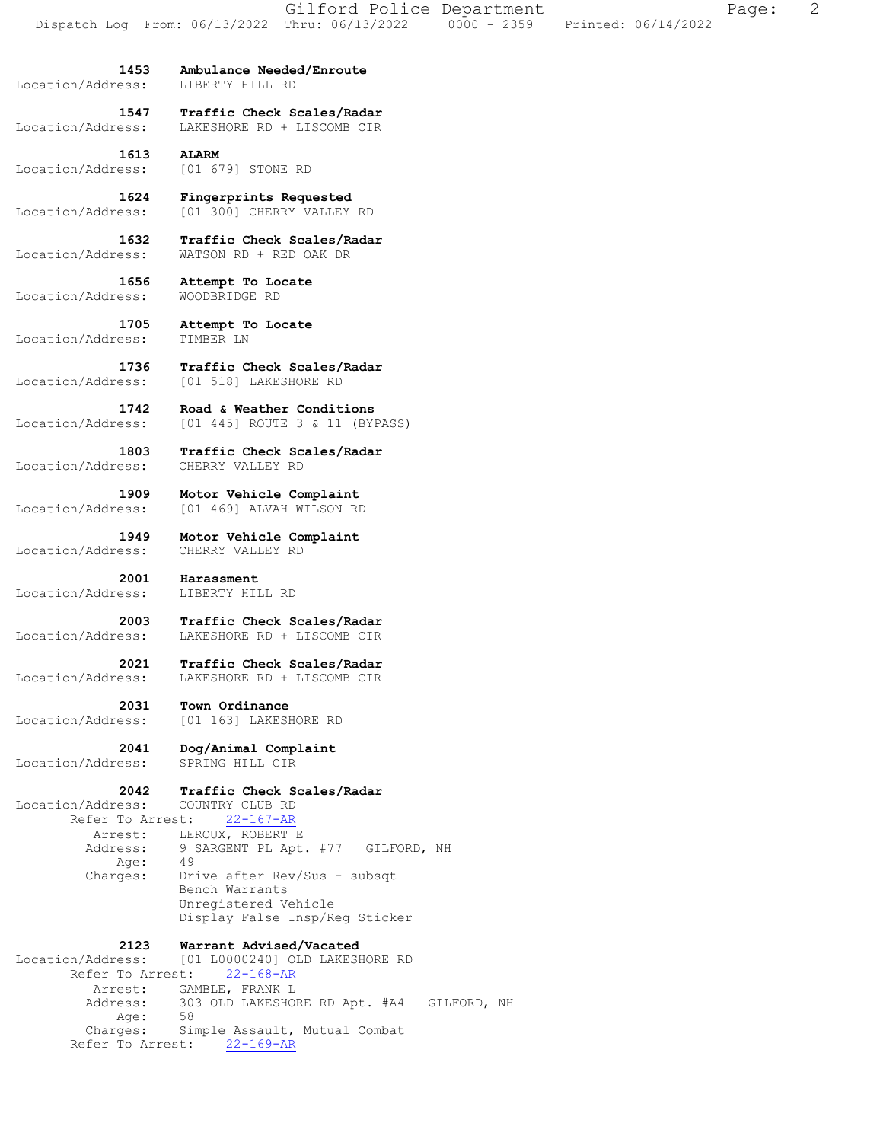Location/Address: LIBERTY HILL RD

 **1453 Ambulance Needed/Enroute** 

 **1547 Traffic Check Scales/Radar**  Location/Address: LAKESHORE RD + LISCOMB CIR

 **1613 ALARM**  Location/Address: [01 679] STONE RD

 **1624 Fingerprints Requested**  Location/Address: [01 300] CHERRY VALLEY RD

 **1632 Traffic Check Scales/Radar**  Location/Address: WATSON RD + RED OAK DR

 **1656 Attempt To Locate**  Location/Address: WOODBRIDGE RD

 **1705 Attempt To Locate**  Location/Address: TIMBER LN

 **1736 Traffic Check Scales/Radar**  Location/Address: [01 518] LAKESHORE RD

 **1742 Road & Weather Conditions**  Location/Address: [01 445] ROUTE 3 & 11 (BYPASS)

 **1803 Traffic Check Scales/Radar**  Location/Address: CHERRY VALLEY RD

 **1909 Motor Vehicle Complaint**  Location/Address: [01 469] ALVAH WILSON RD

 **1949 Motor Vehicle Complaint**  Location/Address: CHERRY VALLEY RD

**2001 Harassment**<br>ess: LIBERTY HILL RD Location/Address:

 **2003 Traffic Check Scales/Radar**  Location/Address: LAKESHORE RD + LISCOMB CIR

 **2021 Traffic Check Scales/Radar**  Location/Address: LAKESHORE RD + LISCOMB CIR

 **2031 Town Ordinance**  Location/Address: [01 163] LAKESHORE RD

 **2041 Dog/Animal Complaint**  Location/Address: SPRING HILL CIR

## **2042 Traffic Check Scales/Radar**

 Location/Address: COUNTRY CLUB RD Refer To Arrest: 22-167-AR Arrest: LEROUX, ROBERT E Address: 9 SARGENT PL Apt. #77 GILFORD, NH Age: 49 Charges: Drive after Rev/Sus - subsqt Bench Warrants Unregistered Vehicle Display False Insp/Reg Sticker

 **2123 Warrant Advised/Vacated**  Location/Address: [01 L0000240] OLD LAKESHORE RD Refer To Arrest: 22-168-AR Arrest: GAMBLE, FRANK L<br>Address: 303 OLD LAKESHO 303 OLD LAKESHORE RD Apt. #A4 GILFORD, NH Age: 58 Charges: Simple Assault, Mutual Combat Refer To Arrest: 22-169-AR